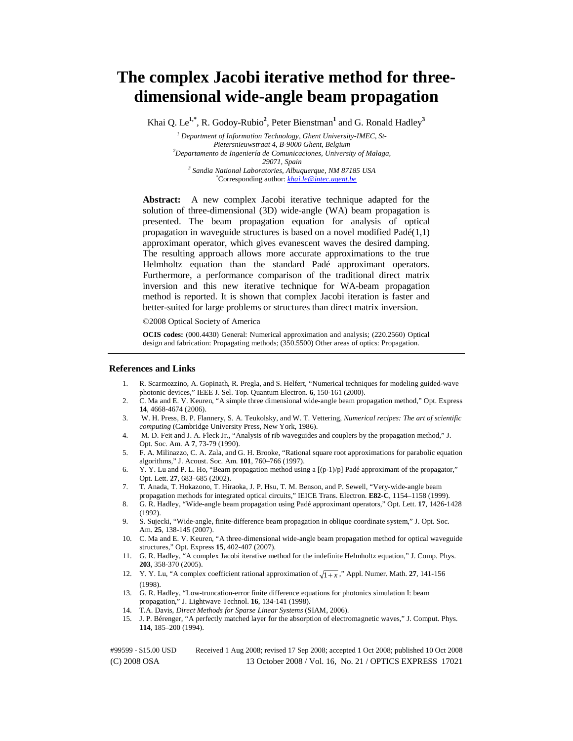# **The complex Jacobi iterative method for threedimensional wide-angle beam propagation**

Khai Q. Le**1,\***, R. Godoy-Rubio**<sup>2</sup>** , Peter Bienstman**<sup>1</sup>** and G. Ronald Hadley**<sup>3</sup>**

<sup>1</sup> Department of Information Technology, Ghent University-IMEC, St-*Pietersnieuwstraat 4, B-9000 Ghent, Belgium 2 Departamento de Ingeniería de Comunicaciones, University of Malaga, 29071, Spain 3 Sandia National Laboratories, Albuquerque, NM 87185 USA* \* Corresponding author: *khai.le@intec.ugent.be*

**Abstract:** A new complex Jacobi iterative technique adapted for the solution of three-dimensional (3D) wide-angle (WA) beam propagation is presented. The beam propagation equation for analysis of optical propagation in waveguide structures is based on a novel modified  $Pad\n(1,1)$ approximant operator, which gives evanescent waves the desired damping. The resulting approach allows more accurate approximations to the true Helmholtz equation than the standard Padé approximant operators. Furthermore, a performance comparison of the traditional direct matrix inversion and this new iterative technique for WA-beam propagation method is reported. It is shown that complex Jacobi iteration is faster and better-suited for large problems or structures than direct matrix inversion.

©2008 Optical Society of America

**OCIS codes:** (000.4430) General: Numerical approximation and analysis; (220.2560) Optical design and fabrication: Propagating methods; (350.5500) Other areas of optics: Propagation.

#### **References and Links**

- 1. R. Scarmozzino, A. Gopinath, R. Pregla, and S. Helfert, "Numerical techniques for modeling guided-wave photonic devices," IEEE J. Sel. Top. Quantum Electron. **6**, 150-161 (2000).
- 2. C. Ma and E. V. Keuren, "A simple three dimensional wide-angle beam propagation method," Opt. Express **14**, 4668-4674 (2006).
- 3. W. H. Press, B. P. Flannery, S. A. Teukolsky, and W. T. Vettering, *Numerical recipes: The art of scientific computing* (Cambridge University Press, New York, 1986).
- 4. M. D. Feit and J. A. Fleck Jr., "Analysis of rib waveguides and couplers by the propagation method," J. Opt. Soc. Am. A **7**, 73-79 (1990).
- 5. F. A. Milinazzo, C. A. Zala, and G. H. Brooke, "Rational square root approximations for parabolic equation algorithms," J. Acoust. Soc. Am. **101**, 760–766 (1997).
- 6. Y. Y. Lu and P. L. Ho, "Beam propagation method using a [(p-1)/p] Padé approximant of the propagator," Opt. Lett. **27**, 683–685 (2002).
- 7. T. Anada, T. Hokazono, T. Hiraoka, J. P. Hsu, T. M. Benson, and P. Sewell, "Very-wide-angle beam propagation methods for integrated optical circuits," IEICE Trans. Electron. **E82-C**, 1154–1158 (1999).
- 8. G. R. Hadley, "Wide-angle beam propagation using Padé approximant operators," Opt. Lett. **17**, 1426-1428 (1992).
- 9. S. Sujecki, "Wide-angle, finite-difference beam propagation in oblique coordinate system," J. Opt. Soc. Am. **25**, 138-145 (2007).
- 10. C. Ma and E. V. Keuren, "A three-dimensional wide-angle beam propagation method for optical waveguide structures," Opt. Express **15**, 402-407 (2007).
- 11. G. R. Hadley, "A complex Jacobi iterative method for the indefinite Helmholtz equation," J. Comp. Phys. **203**, 358-370 (2005).
- 12. Y. Y. Lu, "A complex coefficient rational approximation of  $\sqrt{1+x}$ ," Appl. Numer. Math. 27, 141-156 (1998).
- 13. G. R. Hadley, "Low-truncation-error finite difference equations for photonics simulation I: beam propagation," J. Lightwave Technol. **16**, 134-141 (1998).
- 14. T.A. Davis, *Direct Methods for Sparse Linear Systems* (SIAM, 2006).
- 15. J. P. Bérenger, "A perfectly matched layer for the absorption of electromagnetic waves," J. Comput. Phys. **114**, 185–200 (1994).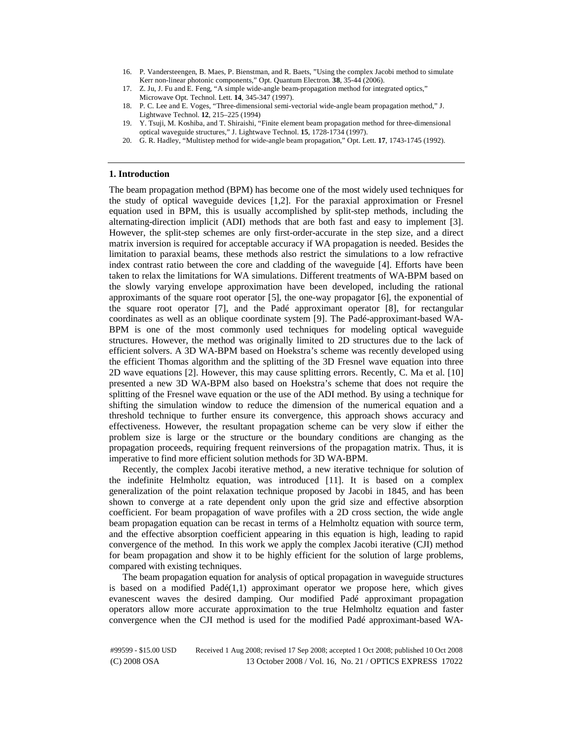- 16. P. Vandersteengen, B. Maes, P. Bienstman, and R. Baets, "Using the complex Jacobi method to simulate Kerr non-linear photonic components," Opt. Quantum Electron. **38**, 35-44 (2006).
- 17. Z. Ju, J. Fu and E. Feng, "A simple wide-angle beam-propagation method for integrated optics," Microwave Opt. Technol. Lett. **14**, 345-347 (1997).
- 18. P. C. Lee and E. Voges, "Three-dimensional semi-vectorial wide-angle beam propagation method," J. Lightwave Technol. **12**, 215–225 (1994)
- 19. Y. Tsuji, M. Koshiba, and T. Shiraishi, "Finite element beam propagation method for three-dimensional optical waveguide structures," J. Lightwave Technol. **15**, 1728-1734 (1997).
- 20. G. R. Hadley, "Multistep method for wide-angle beam propagation," Opt. Lett. **17**, 1743-1745 (1992).

#### **1. Introduction**

The beam propagation method (BPM) has become one of the most widely used techniques for the study of optical waveguide devices [1,2]. For the paraxial approximation or Fresnel equation used in BPM, this is usually accomplished by split-step methods, including the alternating-direction implicit (ADI) methods that are both fast and easy to implement [3]. However, the split-step schemes are only first-order-accurate in the step size, and a direct matrix inversion is required for acceptable accuracy if WA propagation is needed. Besides the limitation to paraxial beams, these methods also restrict the simulations to a low refractive index contrast ratio between the core and cladding of the waveguide [4]. Efforts have been taken to relax the limitations for WA simulations. Different treatments of WA-BPM based on the slowly varying envelope approximation have been developed, including the rational approximants of the square root operator [5], the one-way propagator [6], the exponential of the square root operator [7], and the Padé approximant operator [8], for rectangular coordinates as well as an oblique coordinate system [9]. The Padé-approximant-based WA-BPM is one of the most commonly used techniques for modeling optical waveguide structures. However, the method was originally limited to 2D structures due to the lack of efficient solvers. A 3D WA-BPM based on Hoekstra's scheme was recently developed using the efficient Thomas algorithm and the splitting of the 3D Fresnel wave equation into three 2D wave equations [2]. However, this may cause splitting errors. Recently, C. Ma et al. [10] presented a new 3D WA-BPM also based on Hoekstra's scheme that does not require the splitting of the Fresnel wave equation or the use of the ADI method. By using a technique for shifting the simulation window to reduce the dimension of the numerical equation and a threshold technique to further ensure its convergence, this approach shows accuracy and effectiveness. However, the resultant propagation scheme can be very slow if either the problem size is large or the structure or the boundary conditions are changing as the propagation proceeds, requiring frequent reinversions of the propagation matrix. Thus, it is imperative to find more efficient solution methods for 3D WA-BPM.

Recently, the complex Jacobi iterative method, a new iterative technique for solution of the indefinite Helmholtz equation, was introduced [11]. It is based on a complex generalization of the point relaxation technique proposed by Jacobi in 1845, and has been shown to converge at a rate dependent only upon the grid size and effective absorption coefficient. For beam propagation of wave profiles with a 2D cross section, the wide angle beam propagation equation can be recast in terms of a Helmholtz equation with source term, and the effective absorption coefficient appearing in this equation is high, leading to rapid convergence of the method. In this work we apply the complex Jacobi iterative (CJI) method for beam propagation and show it to be highly efficient for the solution of large problems, compared with existing techniques.

The beam propagation equation for analysis of optical propagation in waveguide structures is based on a modified  $Pad(1,1)$  approximant operator we propose here, which gives evanescent waves the desired damping. Our modified Padé approximant propagation operators allow more accurate approximation to the true Helmholtz equation and faster convergence when the CJI method is used for the modified Padé approximant-based WA-

<sup>#99599 - \$15.00</sup> USD Received 1 Aug 2008; revised 17 Sep 2008; accepted 1 Oct 2008; published 10 Oct 2008 (C) 2008 OSA 13 October 2008 / Vol. 16, No. 21 / OPTICS EXPRESS 17022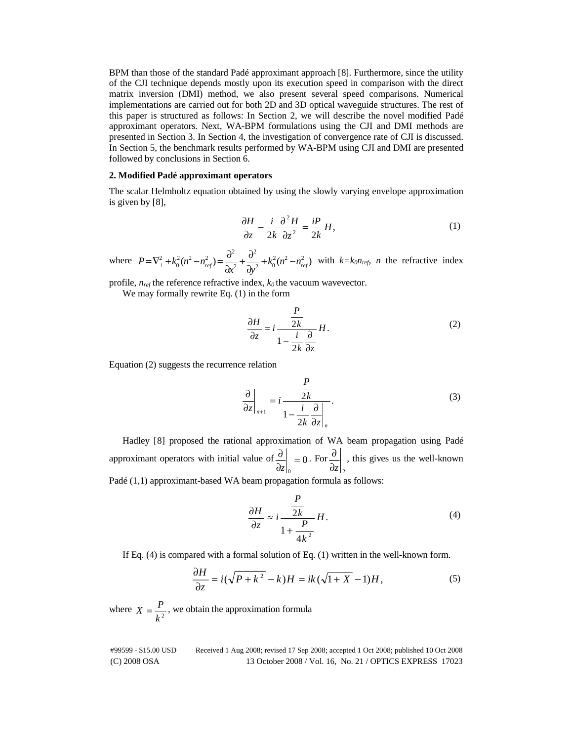BPM than those of the standard Padé approximant approach [8]. Furthermore, since the utility of the CJI technique depends mostly upon its execution speed in comparison with the direct matrix inversion (DMI) method, we also present several speed comparisons. Numerical implementations are carried out for both 2D and 3D optical waveguide structures. The rest of this paper is structured as follows: In Section 2, we will describe the novel modified Padé approximant operators. Next, WA-BPM formulations using the CJI and DMI methods are presented in Section 3. In Section 4, the investigation of convergence rate of CJI is discussed. In Section 5, the benchmark results performed by WA-BPM using CJI and DMI are presented followed by conclusions in Section 6.

### **2. Modified Padé approximant operators**

The scalar Helmholtz equation obtained by using the slowly varying envelope approximation is given by [8],

$$
\frac{\partial H}{\partial z} - \frac{i}{2k} \frac{\partial^2 H}{\partial z^2} = \frac{iP}{2k} H,
$$
\n(1)

where  $P = \nabla_{\perp}^2 + k_0^2 (n^2 - n_{ref}^2) = \frac{\sigma}{\Delta r^2} + \frac{\sigma}{\Delta r^2} + k_0^2 (n^2 - n_{ref}^2)$ 2 2  $P = \nabla_{\perp}^2 + k_0^2 (n^2 - n_{ref}^2) = \frac{\partial^2}{\partial x^2} + \frac{\partial^2}{\partial y^2} + k_0^2 (n^2 - n_{ref}^2)$  $=\nabla_{\perp}^2 + k_0^2 (n^2 - n_{ref}^2) = \frac{\partial^2}{\partial x^2} + \frac{\partial^2}{\partial y^2} + k_0^2 (n^2 - n_{ref}^2)$  with  $k = k_0 n_{ref}$ , *n* the refractive index

profile,  $n_{ref}$  the reference refractive index,  $k_0$  the vacuum wavevector.

We may formally rewrite Eq. (1) in the form

$$
\frac{\partial H}{\partial z} = i \frac{\frac{P}{2k}}{1 - \frac{i}{2k} \frac{\partial}{\partial z}} H.
$$
 (2)

Equation (2) suggests the recurrence relation

$$
\left. \frac{\partial}{\partial z} \right|_{n+1} = i \frac{\frac{P}{2k}}{1 - \frac{i}{2k} \frac{\partial}{\partial z} \Big|_{n}}.
$$
\n(3)

Hadley [8] proposed the rational approximation of WA beam propagation using Padé approximant operators with initial value of  $\frac{0}{2}$  = 0  $\frac{\partial}{\partial z}\Big|_0 =$ *z* . For  $\partial z\big|_2$  $\frac{\partial}{\partial s}$ , this gives us the well-known

Padé (1,1) approximant-based WA beam propagation formula as follows:

$$
\frac{\partial H}{\partial z} \approx i \frac{\frac{P}{2k}}{1 + \frac{P}{4k^2}} H.
$$
 (4)

If Eq. (4) is compared with a formal solution of Eq. (1) written in the well-known form.

$$
\frac{\partial H}{\partial z} = i(\sqrt{P + k^2} - k)H = ik(\sqrt{1 + X} - 1)H,\tag{5}
$$

where  $X = \frac{P}{k^2}$ , we obtain the approximation formula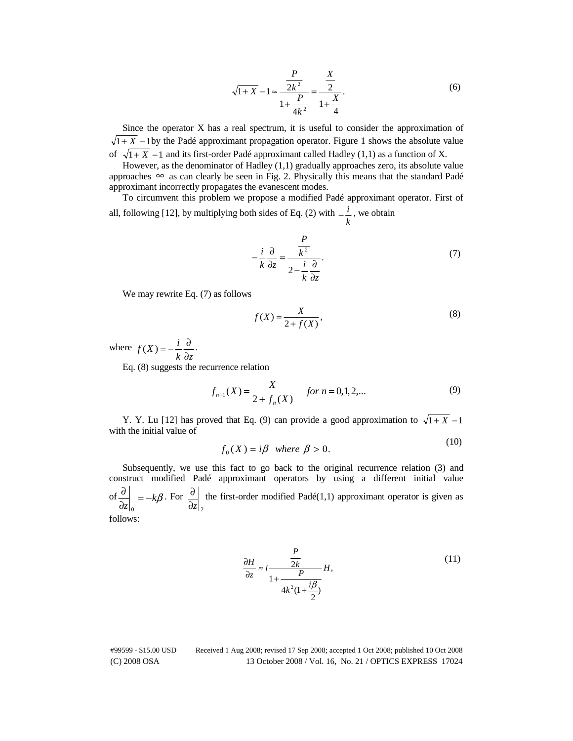$$
\sqrt{1+X} - 1 \approx \frac{\frac{P}{2k^2}}{1 + \frac{P}{4k^2}} = \frac{\frac{X}{2}}{1 + \frac{X}{4}}.
$$
 (6)

Since the operator X has a real spectrum, it is useful to consider the approximation of  $\sqrt{1+X}$  −1 by the Padé approximant propagation operator. Figure 1 shows the absolute value of  $\sqrt{1+X}$  −1 and its first-order Padé approximant called Hadley (1,1) as a function of X.

However, as the denominator of Hadley (1,1) gradually approaches zero, its absolute value approaches  $\infty$  as can clearly be seen in Fig. 2. Physically this means that the standard Padé approximant incorrectly propagates the evanescent modes.

To circumvent this problem we propose a modified Padé approximant operator. First of all, following [12], by multiplying both sides of Eq. (2) with  $-\frac{i}{k}$ , we obtain

$$
-\frac{i}{k}\frac{\partial}{\partial z} = \frac{\frac{P}{k^2}}{2 - \frac{i}{k}\frac{\partial}{\partial z}}.
$$
 (7)

We may rewrite Eq. (7) as follows

$$
f(X) = \frac{X}{2 + f(X)},\tag{8}
$$

where  $k$   $\partial z$  $f(X) = -\frac{i}{x}$ ∂  $(X) = -\frac{i}{i} \frac{\partial}{\partial x}$ .

Eq. (8) suggests the recurrence relation

$$
f_{n+1}(X) = \frac{X}{2 + f_n(X)} \quad \text{for } n = 0, 1, 2, \dots
$$
 (9)

Y. Y. Lu [12] has proved that Eq. (9) can provide a good approximation to  $\sqrt{1+X}$  –1 with the initial value of  $(10)$ 

$$
f_0(X) = i\beta \quad \text{where} \quad \beta > 0.
$$

Subsequently, we use this fact to go back to the original recurrence relation (3) and construct modified Padé approximant operators by using a different initial value  $\int \frac{\partial}{\partial z} \Big|_0 = -k\beta$  $\boldsymbol{0}$ . For  $\partial z\vert_{2}$  $\partial$  the first-order modified Padé(1,1) approximant operator is given as follows:

$$
\frac{\partial H}{\partial z} \approx i \frac{\frac{P}{2k}}{1 + \frac{P}{4k^2(1 + \frac{i\beta}{2})}} H,
$$
\n(11)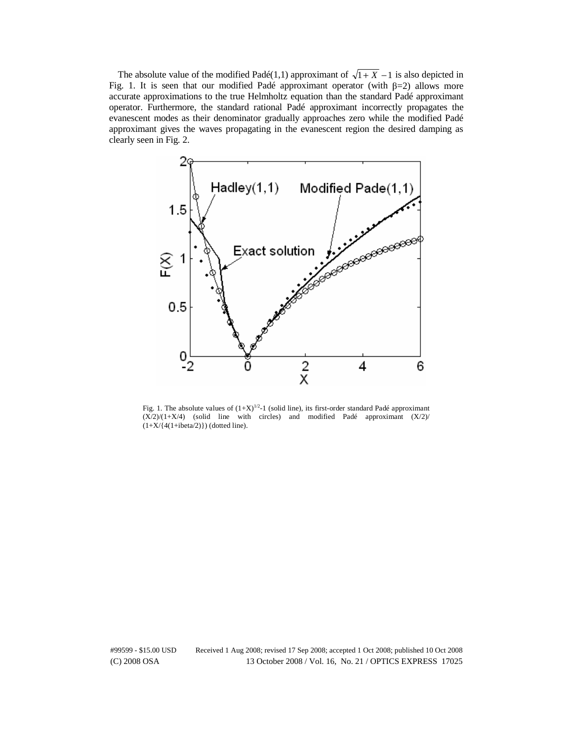The absolute value of the modified Padé(1,1) approximant of  $\sqrt{1+X}$  –1 is also depicted in Fig. 1. It is seen that our modified Padé approximant operator (with  $\beta=2$ ) allows more accurate approximations to the true Helmholtz equation than the standard Padé approximant operator. Furthermore, the standard rational Padé approximant incorrectly propagates the evanescent modes as their denominator gradually approaches zero while the modified Padé approximant gives the waves propagating in the evanescent region the desired damping as clearly seen in Fig. 2.



Fig. 1. The absolute values of  $(1+X)^{1/2}$ -1 (solid line), its first-order standard Padé approximant  $(X/2)/(1+X/4)$  (solid line with circles) and modified Padé approximant  $(X/2)$  $(1+X/\{4(1+i\beta/2)\})$  (dotted line).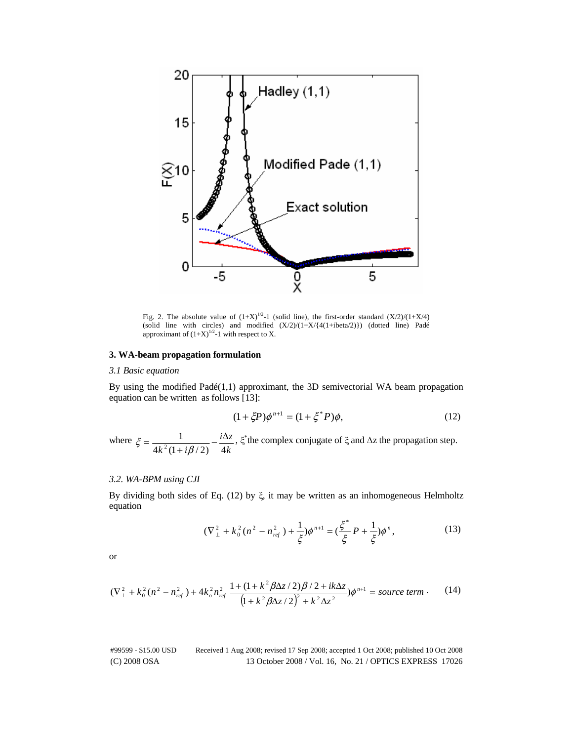

Fig. 2. The absolute value of  $(1+X)^{1/2}-1$  (solid line), the first-order standard  $(X/2)/(1+X/4)$ (solid line with circles) and modified  $(X/2)/(1+X/\{4(1+i\beta)^2\})$  (dotted line) Padé approximant of  $(1+X)^{1/2}-1$  with respect to X.

## **3. WA-beam propagation formulation**

## *3.1 Basic equation*

By using the modified  $Pad(1,1)$  approximant, the 3D semivectorial WA beam propagation equation can be written as follows [13]:

$$
(1 + \xi P)\phi^{n+1} = (1 + \xi^* P)\phi,
$$
\n(12)

where *k*  $i\Delta z$  $4k^2(1+i\beta/2)$  4 1  $\zeta = \frac{1}{4k^2(1+i\beta/2)} - \frac{i\Delta z}{4k}$ ,  $\xi^*$  the complex conjugate of  $\xi$  and  $\Delta z$  the propagation step.

## *3.2. WA-BPM using CJI*

By dividing both sides of Eq. (12) by  $\xi$ , it may be written as an inhomogeneous Helmholtz equation

$$
(\nabla_{\perp}^{2} + k_0^{2} (n^{2} - n_{\text{ref}}^{2}) + \frac{1}{\xi}) \phi^{n+1} = (\frac{\xi^{*}}{\xi} P + \frac{1}{\xi}) \phi^{n}, \qquad (13)
$$

or

$$
(\nabla_{\perp}^{2} + k_0^2 (n^2 - n_{ref}^2) + 4k_o^2 n_{ref}^2) \frac{1 + (1 + k^2 \beta \Delta z / 2) \beta / 2 + ik \Delta z}{\left(1 + k^2 \beta \Delta z / 2\right)^2 + k^2 \Delta z^2} \rho^{n+1} = source \ term \,. \tag{14}
$$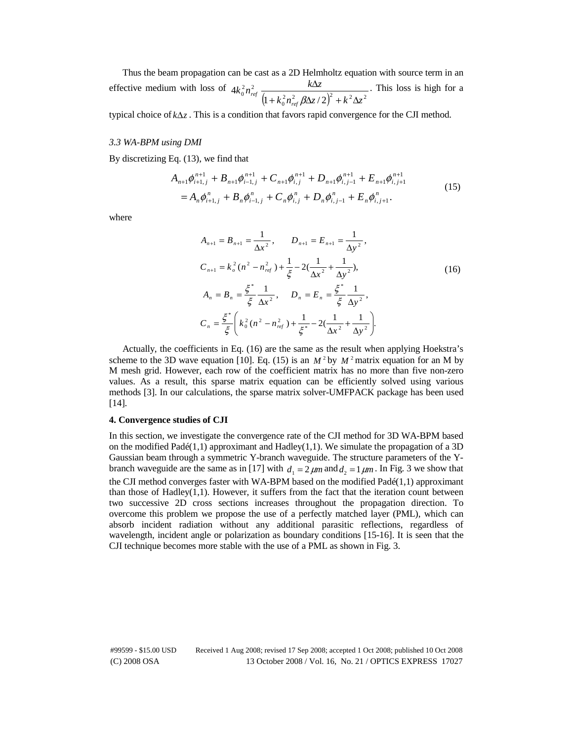Thus the beam propagation can be cast as a 2D Helmholtz equation with source term in an effective medium with loss of  $\left(1+k_0^{\,2}n_{\it ref}^{\,2}\,\beta\Delta z\,/\,2\right)^{\!2}+k^{\,2}\Delta z^{\,2}$  $\int_{0}^{2} n_{ref}^{2} \frac{k\Delta z}{\left(1 + k_{0}^{2} n_{ref}^{2} \beta \Delta z / 2\right)}$ 4  $k_0^2 n_{\text{ref}}^2 \beta \Delta z / 2 \right)^2 + k^2 \Delta z$  $k_0^2 n_{\text{ref}}^2$  *k* $\Delta z$ *ref*  $\int_{0}^{ref} (1 + k_0^2 n_{ref}^2 \beta \Delta z / 2)^2 + k^2 \Delta z$ Δ  $\beta$ Δ . This loss is high for a

typical choice of  $k\Delta z$ . This is a condition that favors rapid convergence for the CJI method.

#### *3.3 WA-BPM using DMI*

By discretizing Eq. (13), we find that

$$
A_{n+1}\phi_{i+1,j}^{n+1} + B_{n+1}\phi_{i-1,j}^{n+1} + C_{n+1}\phi_{i,j}^{n+1} + D_{n+1}\phi_{i,j-1}^{n+1} + E_{n+1}\phi_{i,j+1}^{n+1}
$$
  
=  $A_n\phi_{i+1,j}^n + B_n\phi_{i-1,j}^n + C_n\phi_{i,j}^n + D_n\phi_{i,j-1}^n + E_n\phi_{i,j+1}^n$ . (15)

where

$$
A_{n+1} = B_{n+1} = \frac{1}{\Delta x^2}, \qquad D_{n+1} = E_{n+1} = \frac{1}{\Delta y^2},
$$
  
\n
$$
C_{n+1} = k_o^2 (n^2 - n_{ref}^2) + \frac{1}{\xi} - 2(\frac{1}{\Delta x^2} + \frac{1}{\Delta y^2}),
$$
  
\n
$$
A_n = B_n = \frac{\xi^*}{\xi} \frac{1}{\Delta x^2}, \qquad D_n = E_n = \frac{\xi^*}{\xi} \frac{1}{\Delta y^2},
$$
  
\n
$$
C_n = \frac{\xi^*}{\xi} \left( k_0^2 (n^2 - n_{ref}^2) + \frac{1}{\xi^*} - 2(\frac{1}{\Delta x^2} + \frac{1}{\Delta y^2}).
$$
\n(16)

Actually, the coefficients in Eq. (16) are the same as the result when applying Hoekstra's scheme to the 3D wave equation [10]. Eq. (15) is an  $M<sup>2</sup>$  by  $M<sup>2</sup>$  matrix equation for an M by M mesh grid. However, each row of the coefficient matrix has no more than five non-zero values. As a result, this sparse matrix equation can be efficiently solved using various methods [3]. In our calculations, the sparse matrix solver-UMFPACK package has been used [14].

## **4. Convergence studies of CJI**

In this section, we investigate the convergence rate of the CJI method for 3D WA-BPM based on the modified Padé(1,1) approximant and Hadley(1,1). We simulate the propagation of a 3D Gaussian beam through a symmetric Y-branch waveguide. The structure parameters of the Ybranch waveguide are the same as in [17] with  $d_1 = 2 \mu m$  and  $d_2 = 1 \mu m$ . In Fig. 3 we show that the CJI method converges faster with WA-BPM based on the modified Padé(1,1) approximant than those of Hadley $(1,1)$ . However, it suffers from the fact that the iteration count between two successive 2D cross sections increases throughout the propagation direction. To overcome this problem we propose the use of a perfectly matched layer (PML), which can absorb incident radiation without any additional parasitic reflections, regardless of wavelength, incident angle or polarization as boundary conditions [15-16]. It is seen that the CJI technique becomes more stable with the use of a PML as shown in Fig. 3.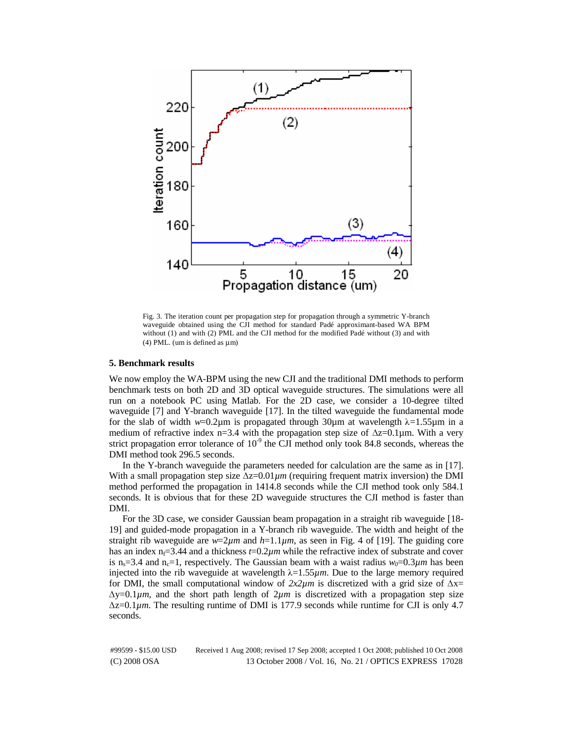

Fig. 3. The iteration count per propagation step for propagation through a symmetric Y-branch waveguide obtained using the CJI method for standard Padé approximant-based WA BPM without (1) and with (2) PML and the CJI method for the modified Padé without (3) and with (4) PML. (um is defined as  $\mu$ m)

#### **5. Benchmark results**

We now employ the WA-BPM using the new CJI and the traditional DMI methods to perform benchmark tests on both 2D and 3D optical waveguide structures. The simulations were all run on a notebook PC using Matlab. For the 2D case, we consider a 10-degree tilted waveguide [7] and Y-branch waveguide [17]. In the tilted waveguide the fundamental mode for the slab of width  $w=0.2\mu$ m is propagated through 30 $\mu$ m at wavelength  $\lambda=1.55\mu$ m in a medium of refractive index n=3.4 with the propagation step size of  $\Delta z=0.1\mu$ m. With a very strict propagation error tolerance of  $10<sup>-9</sup>$  the CJI method only took 84.8 seconds, whereas the DMI method took 296.5 seconds.

In the Y-branch waveguide the parameters needed for calculation are the same as in [17]. With a small propagation step size  $\Delta z = 0.01 \mu m$  (requiring frequent matrix inversion) the DMI method performed the propagation in 1414.8 seconds while the CJI method took only 584.1 seconds. It is obvious that for these 2D waveguide structures the CJI method is faster than DMI.

For the 3D case, we consider Gaussian beam propagation in a straight rib waveguide [18- 19] and guided-mode propagation in a Y-branch rib waveguide. The width and height of the straight rib waveguide are  $w=2\mu m$  and  $h=1.1\mu m$ , as seen in Fig. 4 of [19]. The guiding core has an index  $n_f=3.44$  and a thickness  $t=0.2\mu m$  while the refractive index of substrate and cover is n<sub>s</sub>=3.4 and n<sub>c</sub>=1, respectively. The Gaussian beam with a waist radius  $w_0=0.3 \mu m$  has been injected into the rib waveguide at wavelength  $\lambda = 1.55 \mu m$ . Due to the large memory required for DMI, the small computational window of  $2x2\mu m$  is discretized with a grid size of  $\Delta x=$  $\Delta y = 0.1 \mu m$ , and the short path length of  $2 \mu m$  is discretized with a propagation step size <sup>Δ</sup>z=0.1*µm*. The resulting runtime of DMI is 177.9 seconds while runtime for CJI is only 4.7 seconds.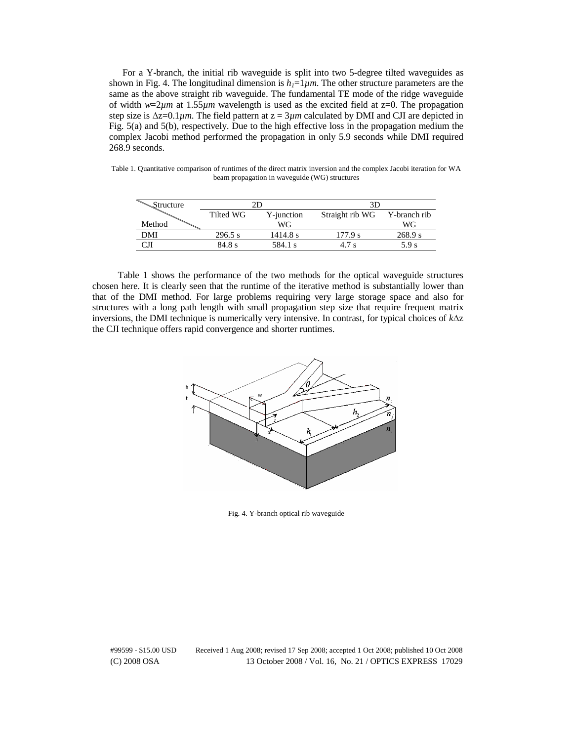For a Y-branch, the initial rib waveguide is split into two 5-degree tilted waveguides as shown in Fig. 4. The longitudinal dimension is  $h_1=1 \mu m$ . The other structure parameters are the same as the above straight rib waveguide. The fundamental TE mode of the ridge waveguide of width *w*=2*µm* at 1.55*µm* wavelength is used as the excited field at z=0. The propagation step size is  $\Delta z = 0.1 \mu m$ . The field pattern at  $z = 3 \mu m$  calculated by DMI and CJI are depicted in Fig. 5(a) and 5(b), respectively. Due to the high effective loss in the propagation medium the complex Jacobi method performed the propagation in only 5.9 seconds while DMI required 268.9 seconds.

Table 1. Quantitative comparison of runtimes of the direct matrix inversion and the complex Jacobi iteration for WA beam propagation in waveguide (WG) structures

| Structure | חי        |            | 3D              |              |
|-----------|-----------|------------|-----------------|--------------|
|           | Tilted WG | Y-junction | Straight rib WG | Y-branch rib |
| Method    |           | WG         |                 | WG           |
| DMI       | 296.5 s   | 1414.8 s   | 177.9 s         | 268.9 s      |
|           | 84.8 s    | 584.1 s    | 4.7 s           | 5.9 s        |

Table 1 shows the performance of the two methods for the optical waveguide structures chosen here. It is clearly seen that the runtime of the iterative method is substantially lower than that of the DMI method. For large problems requiring very large storage space and also for structures with a long path length with small propagation step size that require frequent matrix inversions, the DMI technique is numerically very intensive. In contrast, for typical choices of *k*Δ<sup>z</sup> the CJI technique offers rapid convergence and shorter runtimes.



Fig. 4. Y-branch optical rib waveguide